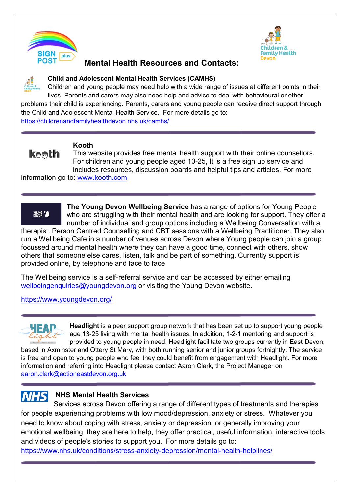



### **Mental Health Resources and Contacts:**



#### **Child and Adolescent Mental Health Services (CAMHS)**

Children and young people may need help with a wide range of issues at different points in their lives. Parents and carers may also need help and advice to deal with behavioural or other

problems their child is experiencing. Parents, carers and young people can receive direct support through the Child and Adolescent Mental Health Service. For more details go to: <https://childrenandfamilyhealthdevon.nhs.uk/camhs/>

**keeth** 

#### **Kooth**

This website provides free mental health support with their online counsellors. For children and young people aged 10-25, It is a free sign up service and includes resources, discussion boards and helpful tips and articles. For more

information go to: [www.kooth.com](http://www.kooth.com/) 



**The Young Devon Wellbeing Service** has a range of options for Young People who are struggling with their mental health and are looking for support. They offer a number of individual and group options including a Wellbeing Conversation with a

therapist, Person Centred Counselling and CBT sessions with a Wellbeing Practitioner. They also run a Wellbeing Cafe in a number of venues across Devon where Young people can join a group focussed around mental health where they can have a good time, connect with others, show others that someone else cares, listen, talk and be part of something. Currently support is provided online, by telephone and face to face

The Wellbeing service is a self-referral service and can be accessed by either emailing [wellbeingenquiries@youngdevon.org](mailto:wellbeingenquiries@youngdevon.org) or visiting the Young Devon website.

<https://www.youngdevon.org/>

**Headlight** is a peer support group network that has been set up to support young people age 13-25 living with mental health issues. In addition, 1-2-1 mentoring and support is provided to young people in need. Headlight facilitate two groups currently in East Devon,

based in Axminster and Ottery St Mary, with both running senior and junior groups fortnightly. The service is free and open to young people who feel they could benefit from engagement with Headlight. For more information and referring into Headlight please contact Aaron Clark, the Project Manager on aaron.clark@actioneastdevon.org.uk

#### **NHS NHS Mental Health Services**

Services across Devon offering a range of different types of treatments and therapies for people experiencing problems with low mood/depression, anxiety or stress. Whatever you need to know about coping with stress, anxiety or depression, or generally improving your emotional wellbeing, they are here to help, they offer practical, useful information, interactive tools and videos of people's stories to support you. For more details go to:

<https://www.nhs.uk/conditions/stress-anxiety-depression/mental-health-helplines/>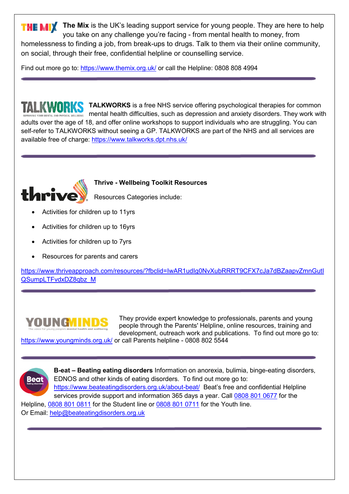**THE MIX** The Mix is the UK's leading support service for young people. They are here to help you take on any challenge you're facing - from mental health to money, from homelessness to finding a job, from break-ups to drugs. Talk to them via their online community, on social, through their free, confidential helpline or counselling service.

Find out more go to: <https://www.themix.org.uk/> or call the Helpline: 0808 808 4994

**TALKWORKS** is a free NHS service offering psychological therapies for common ELLBEING mental health difficulties, such as depression and anxiety disorders. They work with adults over the age of 18, and offer online workshops to support individuals who are struggling. You can self-refer to TALKWORKS without seeing a GP. TALKWORKS are part of the NHS and all services are available free of charge:<https://www.talkworks.dpt.nhs.uk/>



**Thrive - Wellbeing Toolkit Resources**

Resources Categories include:

- Activities for children up to 11yrs
- Activities for children up to 16yrs
- Activities for children up to 7yrs
- Resources for parents and carers

[https://www.thriveapproach.com/resources/?fbclid=IwAR1udIg0NvXubRRRT9CFX7cJa7dBZaapvZmnGutI](https://www.thriveapproach.com/resources/?fbclid=IwAR1udIg0NvXubRRRT9CFX7cJa7dBZaapvZmnGutIQSumpLTFvdxDZ8qbz_M) [QSumpLTFvdxDZ8qbz\\_M](https://www.thriveapproach.com/resources/?fbclid=IwAR1udIg0NvXubRRRT9CFX7cJa7dBZaapvZmnGutIQSumpLTFvdxDZ8qbz_M)



They provide expert knowledge to professionals, parents and young people through the Parents' Helpline, online resources, training and development, outreach work and publications. To find out more go to:

<https://www.youngminds.org.uk/>or call Parents helpline - 0808 802 5544



**B-eat – Beating eating disorders** Information on anorexia, bulimia, binge-eating disorders, EDNOS and other kinds of eating disorders. To find out more go to: <https://www.beateatingdisorders.org.uk/about-beat/>Beat's free and confidential Helpline services provide support and information 365 days a year. Call [0808 801 0677](tel:0808%20801%200677) for the

Helpline, [0808 801 0811](tel:0808%20801%200811) for the Student line or [0808 801 0711](tel:0808%20801%200711) for the Youth line. Or Email: [help@beateatingdisorders.org.uk](mailto:help@beateatingdisorders.org.uk)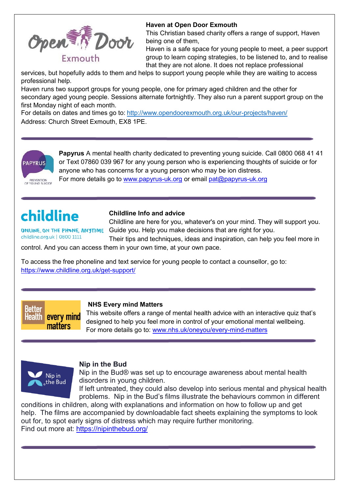

#### **Haven at Open Door Exmouth**

This Christian based charity offers a range of support, Haven being one of them,

Haven is a safe space for young people to meet, a peer support group to learn coping strategies, to be listened to, and to realise that they are not alone. It does not replace professional

services, but hopefully adds to them and helps to support young people while they are waiting to access professional help.

Haven runs two support groups for young people, one for primary aged children and the other for secondary aged young people. Sessions alternate fortnightly. They also run a parent support group on the first Monday night of each month.

For details on dates and times go to: <http://www.opendoorexmouth.org.uk/our-projects/haven/> Address: Church Street Exmouth, EX8 1PE.



**Papyrus** A mental health charity dedicated to preventing young suicide. Call 0800 068 41 41 or Text 07860 039 967 for any young person who is experiencing thoughts of suicide or for anyone who has concerns for a young person who may be ion distress.

For more details go to [www.papyrus-uk.org](http://www.papyrus-uk.org/) or email pat@papyrus-uk.org

# childline

#### **Childline Info and advice**

Childline are here for you, whatever's on your mind. They will support you. ONLINE, ON THE PHONE, ANYTIME Guide you. Help you make decisions that are right for you.

childline.org.uk | 0800 1111

Their tips and techniques, ideas and inspiration, can help you feel more in

control. And you can access them in your own time, at your own pace.

To access the free phoneline and text service for young people to contact a counsellor, go to: <https://www.childline.org.uk/get-support/>

every mind <del>l</del>ealth I matters

#### **NHS Every mind Matters**

This website offers a range of mental health advice with an interactive quiz that's designed to help you feel more in control of your emotional mental wellbeing. For more details go to: [www.nhs.uk/oneyou/every-mind-matters](http://www.nhs.uk/oneyou/every-mind-matters) 



#### **Nip in the Bud**

Nip in the Bud® was set up to encourage awareness about mental health disorders in young children.

If left untreated, they could also develop into serious mental and physical health problems. Nip in the Bud's films illustrate the behaviours common in different

conditions in children, along with explanations and information on how to follow up and get help. The films are accompanied by downloadable fact sheets explaining the symptoms to look out for, to spot early signs of distress which may require further monitoring. Find out more at:<https://nipinthebud.org/>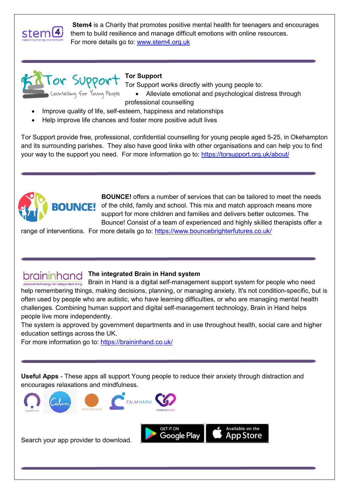

**Stem4** is a Charity that promotes positive mental health for teenagers and encourages them to build resilience and manage difficult emotions with online resources. For more details go to: www.stem4.org.uk



#### **Tor Support**

Tor Support works directly with young people to:

• Alleviate emotional and psychological distress through

professional counselling

- Improve quality of life, self-esteem, happiness and relationships
- Help improve life chances and foster more positive adult lives

Tor Support provide free, professional, confidential counselling for young people aged 5-25, in Okehampton and its surrounding parishes. They also have good links with other organisations and can help you to find your way to the support you need. For more information go to:<https://torsupport.org.uk/about/>



**BOUNCE!** offers a number of services that can be tailored to meet the needs of the child, family and school. This mix and match approach means more support for more children and families and delivers better outcomes. The Bounce! Consist of a team of experienced and highly skilled therapists offer a

range of interventions. For more details go to:<https://www.bouncebrighterfutures.co.uk/>

## **The integrated Brain in Hand system**

 $\frac{1}{\text{personal technology for independent living}}$  Brain in Hand is a digital self-management support system for people who need help remembering things, making decisions, planning, or managing anxiety. It's not condition-specific, but is often used by people who are autistic, who have learning difficulties, or who are managing mental health challenges. Combining human support and digital self-management technology, Brain in Hand helps people live more independently.

The system is approved by government departments and in use throughout health, social care and higher education settings across the UK.

For more information go to: https://braininhand.co.uk/

**Useful Apps** - These apps all support Young people to reduce their anxiety through distraction and encourages relaxations and mindfulness.



Search your app provider to download.

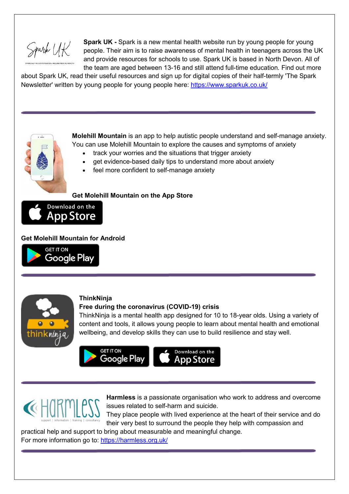Spark UK

**Spark UK -** Spark is a new mental health website run by young people for young people. Their aim is to raise awareness of mental health in teenagers across the UK and provide resources for schools to use. Spark UK is based in North Devon. All of the team are aged between 13-16 and still attend full-time education. Find out more

about Spark UK, read their useful resources and sign up for digital copies of their half-termly 'The Spark Newsletter' written by young people for young people here:<https://www.sparkuk.co.uk/>



**Molehill Mountain** is an app to help autistic people understand and self-manage anxiety. You can use Molehill Mountain to explore the causes and symptoms of anxiety

- track your worries and the situations that trigger anxiety
- get evidence-based daily tips to understand more about anxiety
- feel more confident to self-manage anxiety

#### **Get Molehill Mountain on the App Store**



#### **Get Molehill Mountain for Android**





#### **ThinkNinja**

#### **Free during the coronavirus (COVID-19) crisis**

ThinkNinja is a mental health app designed for 10 to 18-year olds. Using a variety of content and tools, it allows young people to learn about mental health and emotional wellbeing, and develop skills they can use to build resilience and stay well.





**Harmless** is a passionate organisation who work to address and overcome issues related to self-harm and suicide.

í

They place people with lived experience at the heart of their service and do their very best to surround the people they help with compassion and

practical help and support to bring about measurable and meaningful change.

For more information go to:<https://harmless.org.uk/>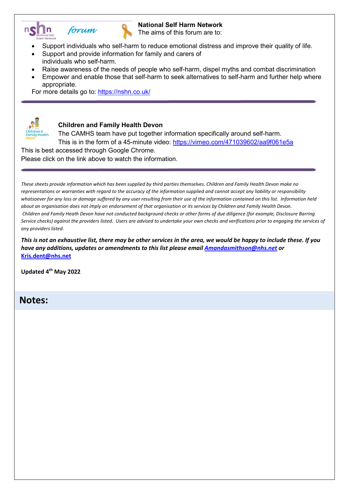



#### **National Self Harm Network**

The aims of this forum are to:

- Support individuals who self-harm to reduce emotional distress and improve their quality of life.
- Support and provide information for family and carers of individuals who self-harm.
- Raise awareness of the needs of people who self-harm, dispel myths and combat discrimination
- Empower and enable those that self-harm to seek alternatives to self-harm and further help where appropriate.

For more details go to:<https://nshn.co.uk/>



#### **Children and Family Health Devon**

The CAMHS team have put together information specifically around self-harm. This is in the form of a 45-minute video:<https://vimeo.com/471039602/aa9f061e5a>

This is best accessed through Google Chrome.

Please click on the link above to watch the information.

*These sheets provide information which has been supplied by third parties themselves. Children and Family Health Devon make no representations or warranties with regard to the accuracy of the information supplied and cannot accept any liability or responsibility whatsoever for any loss or damage suffered by any user resulting from their use of the information contained on this list. Information held about an organisation does not imply an endorsement of that organisation or its services by Children and Family Health Devon. Children and Family Heath Devon have not conducted background checks or other forms of due diligence (for example, Disclosure Barring Service checks) against the providers listed. Users are advised to undertake your own checks and verifications prior to engaging the services of any providers listed.*

*This is not an exhaustive list, there may be other services in the area, we would be happy to include these. If you have any additions, updates or amendments to this list please emai[l Amandasmithson@nhs.net](mailto:Amandasmithson@nhs.net) or*  **[Kris.dent@nhs.net](mailto:Kris.dent@nhs.net)**

**Updated 4th May 2022**

#### **Notes:**